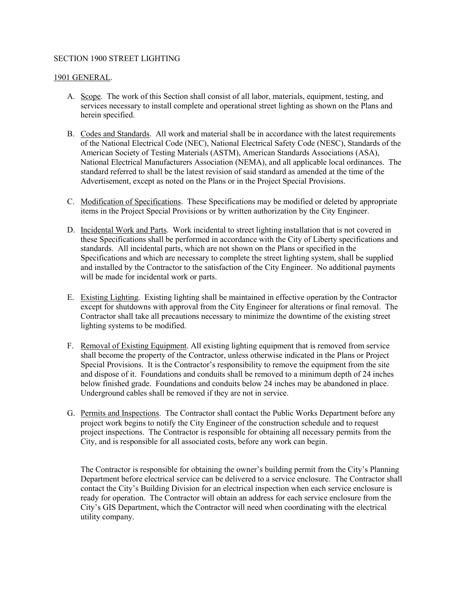## SECTION 1900 STREET LIGHTING

## 1901 GENERAL.

- A. Scope. The work of this Section shall consist of all labor, materials, equipment, testing, and services necessary to install complete and operational street lighting as shown on the Plans and herein specified.
- B. Codes and Standards. All work and material shall be in accordance with the latest requirements of the National Electrical Code (NEC), National Electrical Safety Code (NESC), Standards of the American Society of Testing Materials (ASTM), American Standards Associations (ASA), National Electrical Manufacturers Association (NEMA), and all applicable local ordinances. The standard referred to shall be the latest revision of said standard as amended at the time of the Advertisement, except as noted on the Plans or in the Project Special Provisions.
- C. Modification of Specifications. These Specifications may be modified or deleted by appropriate items in the Project Special Provisions or by written authorization by the City Engineer.
- D. Incidental Work and Parts. Work incidental to street lighting installation that is not covered in these Specifications shall be performed in accordance with the City of Liberty specifications and standards. All incidental parts, which are not shown on the Plans or specified in the Specifications and which are necessary to complete the street lighting system, shall be supplied and installed by the Contractor to the satisfaction of the City Engineer. No additional payments will be made for incidental work or parts.
- E. Existing Lighting. Existing lighting shall be maintained in effective operation by the Contractor except for shutdowns with approval from the City Engineer for alterations or final removal. The Contractor shall take all precautions necessary to minimize the downtime of the existing street lighting systems to be modified.
- F. Removal of Existing Equipment. All existing lighting equipment that is removed from service shall become the property of the Contractor, unless otherwise indicated in the Plans or Project Special Provisions. It is the Contractor's responsibility to remove the equipment from the site and dispose of it. Foundations and conduits shall be removed to a minimum depth of 24 inches below finished grade. Foundations and conduits below 24 inches may be abandoned in place. Underground cables shall be removed if they are not in service.
- G. Permits and Inspections. The Contractor shall contact the Public Works Department before any project work begins to notify the City Engineer of the construction schedule and to request project inspections. The Contractor is responsible for obtaining all necessary permits from the City, and is responsible for all associated costs, before any work can begin.

The Contractor is responsible for obtaining the owner's building permit from the City's Planning Department before electrical service can be delivered to a service enclosure. The Contractor shall contact the City's Building Division for an electrical inspection when each service enclosure is ready for operation. The Contractor will obtain an address for each service enclosure from the City's GIS Department, which the Contractor will need when coordinating with the electrical utility company.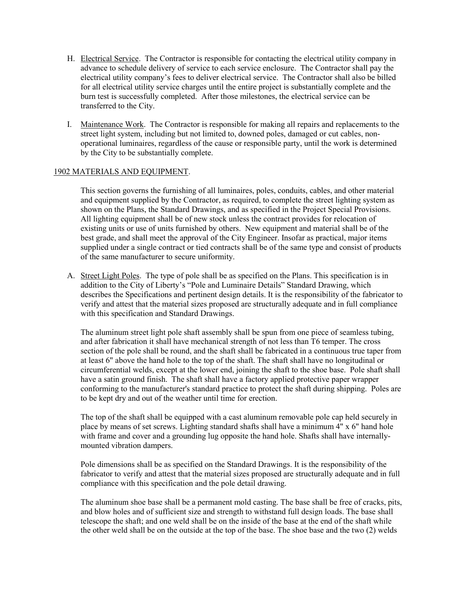- H. Electrical Service. The Contractor is responsible for contacting the electrical utility company in advance to schedule delivery of service to each service enclosure. The Contractor shall pay the electrical utility company's fees to deliver electrical service. The Contractor shall also be billed for all electrical utility service charges until the entire project is substantially complete and the burn test is successfully completed. After those milestones, the electrical service can be transferred to the City.
- I. Maintenance Work. The Contractor is responsible for making all repairs and replacements to the street light system, including but not limited to, downed poles, damaged or cut cables, nonoperational luminaires, regardless of the cause or responsible party, until the work is determined by the City to be substantially complete.

## 1902 MATERIALS AND EQUIPMENT.

This section governs the furnishing of all luminaires, poles, conduits, cables, and other material and equipment supplied by the Contractor, as required, to complete the street lighting system as shown on the Plans, the Standard Drawings, and as specified in the Project Special Provisions. All lighting equipment shall be of new stock unless the contract provides for relocation of existing units or use of units furnished by others. New equipment and material shall be of the best grade, and shall meet the approval of the City Engineer. Insofar as practical, major items supplied under a single contract or tied contracts shall be of the same type and consist of products of the same manufacturer to secure uniformity.

A. Street Light Poles. The type of pole shall be as specified on the Plans. This specification is in addition to the City of Liberty's "Pole and Luminaire Details" Standard Drawing, which describes the Specifications and pertinent design details. It is the responsibility of the fabricator to verify and attest that the material sizes proposed are structurally adequate and in full compliance with this specification and Standard Drawings.

The aluminum street light pole shaft assembly shall be spun from one piece of seamless tubing, and after fabrication it shall have mechanical strength of not less than T6 temper. The cross section of the pole shall be round, and the shaft shall be fabricated in a continuous true taper from at least 6" above the hand hole to the top of the shaft. The shaft shall have no longitudinal or circumferential welds, except at the lower end, joining the shaft to the shoe base. Pole shaft shall have a satin ground finish. The shaft shall have a factory applied protective paper wrapper conforming to the manufacturer's standard practice to protect the shaft during shipping. Poles are to be kept dry and out of the weather until time for erection.

The top of the shaft shall be equipped with a cast aluminum removable pole cap held securely in place by means of set screws. Lighting standard shafts shall have a minimum 4" x 6" hand hole with frame and cover and a grounding lug opposite the hand hole. Shafts shall have internallymounted vibration dampers.

Pole dimensions shall be as specified on the Standard Drawings. It is the responsibility of the fabricator to verify and attest that the material sizes proposed are structurally adequate and in full compliance with this specification and the pole detail drawing.

The aluminum shoe base shall be a permanent mold casting. The base shall be free of cracks, pits, and blow holes and of sufficient size and strength to withstand full design loads. The base shall telescope the shaft; and one weld shall be on the inside of the base at the end of the shaft while the other weld shall be on the outside at the top of the base. The shoe base and the two (2) welds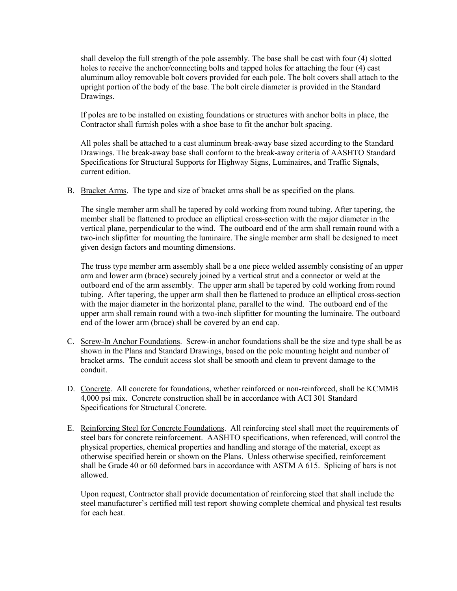shall develop the full strength of the pole assembly. The base shall be cast with four (4) slotted holes to receive the anchor/connecting bolts and tapped holes for attaching the four (4) cast aluminum alloy removable bolt covers provided for each pole. The bolt covers shall attach to the upright portion of the body of the base. The bolt circle diameter is provided in the Standard Drawings.

If poles are to be installed on existing foundations or structures with anchor bolts in place, the Contractor shall furnish poles with a shoe base to fit the anchor bolt spacing.

All poles shall be attached to a cast aluminum break-away base sized according to the Standard Drawings. The break-away base shall conform to the break-away criteria of AASHTO Standard Specifications for Structural Supports for Highway Signs, Luminaires, and Traffic Signals, current edition.

B. Bracket Arms. The type and size of bracket arms shall be as specified on the plans.

The single member arm shall be tapered by cold working from round tubing. After tapering, the member shall be flattened to produce an elliptical cross-section with the major diameter in the vertical plane, perpendicular to the wind. The outboard end of the arm shall remain round with a two-inch slipfitter for mounting the luminaire. The single member arm shall be designed to meet given design factors and mounting dimensions.

The truss type member arm assembly shall be a one piece welded assembly consisting of an upper arm and lower arm (brace) securely joined by a vertical strut and a connector or weld at the outboard end of the arm assembly. The upper arm shall be tapered by cold working from round tubing. After tapering, the upper arm shall then be flattened to produce an elliptical cross-section with the major diameter in the horizontal plane, parallel to the wind. The outboard end of the upper arm shall remain round with a two-inch slipfitter for mounting the luminaire. The outboard end of the lower arm (brace) shall be covered by an end cap.

- C. Screw-In Anchor Foundations. Screw-in anchor foundations shall be the size and type shall be as shown in the Plans and Standard Drawings, based on the pole mounting height and number of bracket arms. The conduit access slot shall be smooth and clean to prevent damage to the conduit.
- D. Concrete. All concrete for foundations, whether reinforced or non-reinforced, shall be KCMMB 4,000 psi mix. Concrete construction shall be in accordance with ACI 301 Standard Specifications for Structural Concrete.
- E. Reinforcing Steel for Concrete Foundations. All reinforcing steel shall meet the requirements of steel bars for concrete reinforcement. AASHTO specifications, when referenced, will control the physical properties, chemical properties and handling and storage of the material, except as otherwise specified herein or shown on the Plans. Unless otherwise specified, reinforcement shall be Grade 40 or 60 deformed bars in accordance with ASTM A 615. Splicing of bars is not allowed.

Upon request, Contractor shall provide documentation of reinforcing steel that shall include the steel manufacturer's certified mill test report showing complete chemical and physical test results for each heat.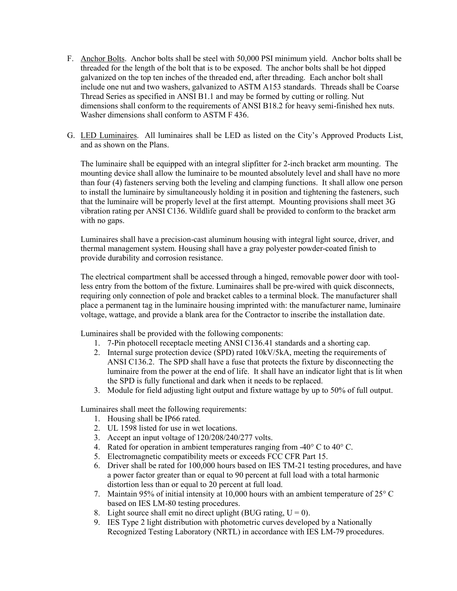- F. Anchor Bolts. Anchor bolts shall be steel with 50,000 PSI minimum yield. Anchor bolts shall be threaded for the length of the bolt that is to be exposed. The anchor bolts shall be hot dipped galvanized on the top ten inches of the threaded end, after threading. Each anchor bolt shall include one nut and two washers, galvanized to ASTM A153 standards. Threads shall be Coarse Thread Series as specified in ANSI B1.1 and may be formed by cutting or rolling. Nut dimensions shall conform to the requirements of ANSI B18.2 for heavy semi-finished hex nuts. Washer dimensions shall conform to ASTM F 436.
- G. LED Luminaires. All luminaires shall be LED as listed on the City's Approved Products List, and as shown on the Plans.

The luminaire shall be equipped with an integral slipfitter for 2-inch bracket arm mounting. The mounting device shall allow the luminaire to be mounted absolutely level and shall have no more than four (4) fasteners serving both the leveling and clamping functions. It shall allow one person to install the luminaire by simultaneously holding it in position and tightening the fasteners, such that the luminaire will be properly level at the first attempt. Mounting provisions shall meet 3G vibration rating per ANSI C136. Wildlife guard shall be provided to conform to the bracket arm with no gaps.

Luminaires shall have a precision-cast aluminum housing with integral light source, driver, and thermal management system. Housing shall have a gray polyester powder-coated finish to provide durability and corrosion resistance.

The electrical compartment shall be accessed through a hinged, removable power door with toolless entry from the bottom of the fixture. Luminaires shall be pre-wired with quick disconnects, requiring only connection of pole and bracket cables to a terminal block. The manufacturer shall place a permanent tag in the luminaire housing imprinted with: the manufacturer name, luminaire voltage, wattage, and provide a blank area for the Contractor to inscribe the installation date.

Luminaires shall be provided with the following components:

- 1. 7-Pin photocell receptacle meeting ANSI C136.41 standards and a shorting cap.
- 2. Internal surge protection device (SPD) rated 10kV/5kA, meeting the requirements of ANSI C136.2. The SPD shall have a fuse that protects the fixture by disconnecting the luminaire from the power at the end of life. It shall have an indicator light that is lit when the SPD is fully functional and dark when it needs to be replaced.
- 3. Module for field adjusting light output and fixture wattage by up to 50% of full output.

Luminaires shall meet the following requirements:

- 1. Housing shall be IP66 rated.
- 2. UL 1598 listed for use in wet locations.
- 3. Accept an input voltage of 120/208/240/277 volts.
- 4. Rated for operation in ambient temperatures ranging from  $-40^{\circ}$  C to  $40^{\circ}$  C.
- 5. Electromagnetic compatibility meets or exceeds FCC CFR Part 15.
- 6. Driver shall be rated for 100,000 hours based on IES TM-21 testing procedures, and have a power factor greater than or equal to 90 percent at full load with a total harmonic distortion less than or equal to 20 percent at full load.
- 7. Maintain 95% of initial intensity at 10,000 hours with an ambient temperature of 25° C based on IES LM-80 testing procedures.
- 8. Light source shall emit no direct uplight (BUG rating,  $U = 0$ ).
- 9. IES Type 2 light distribution with photometric curves developed by a Nationally Recognized Testing Laboratory (NRTL) in accordance with IES LM-79 procedures.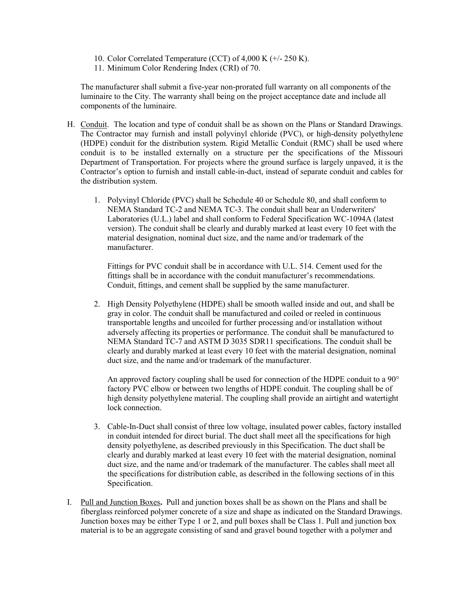- 10. Color Correlated Temperature (CCT) of 4,000 K (+/- 250 K).
- 11. Minimum Color Rendering Index (CRI) of 70.

The manufacturer shall submit a five-year non-prorated full warranty on all components of the luminaire to the City. The warranty shall being on the project acceptance date and include all components of the luminaire.

- H. Conduit. The location and type of conduit shall be as shown on the Plans or Standard Drawings. The Contractor may furnish and install polyvinyl chloride (PVC), or high-density polyethylene (HDPE) conduit for the distribution system. Rigid Metallic Conduit (RMC) shall be used where conduit is to be installed externally on a structure per the specifications of the Missouri Department of Transportation. For projects where the ground surface is largely unpaved, it is the Contractor's option to furnish and install cable-in-duct, instead of separate conduit and cables for the distribution system.
	- 1. Polyvinyl Chloride (PVC) shall be Schedule 40 or Schedule 80, and shall conform to NEMA Standard TC-2 and NEMA TC-3. The conduit shall bear an Underwriters' Laboratories (U.L.) label and shall conform to Federal Specification WC-1094A (latest version). The conduit shall be clearly and durably marked at least every 10 feet with the material designation, nominal duct size, and the name and/or trademark of the manufacturer.

Fittings for PVC conduit shall be in accordance with U.L. 514. Cement used for the fittings shall be in accordance with the conduit manufacturer's recommendations. Conduit, fittings, and cement shall be supplied by the same manufacturer.

2. High Density Polyethylene (HDPE) shall be smooth walled inside and out, and shall be gray in color. The conduit shall be manufactured and coiled or reeled in continuous transportable lengths and uncoiled for further processing and/or installation without adversely affecting its properties or performance. The conduit shall be manufactured to NEMA Standard TC-7 and ASTM D 3035 SDR11 specifications. The conduit shall be clearly and durably marked at least every 10 feet with the material designation, nominal duct size, and the name and/or trademark of the manufacturer.

An approved factory coupling shall be used for connection of the HDPE conduit to a 90° factory PVC elbow or between two lengths of HDPE conduit. The coupling shall be of high density polyethylene material. The coupling shall provide an airtight and watertight lock connection.

- 3. Cable-In-Duct shall consist of three low voltage, insulated power cables, factory installed in conduit intended for direct burial. The duct shall meet all the specifications for high density polyethylene, as described previously in this Specification. The duct shall be clearly and durably marked at least every 10 feet with the material designation, nominal duct size, and the name and/or trademark of the manufacturer. The cables shall meet all the specifications for distribution cable, as described in the following sections of in this Specification.
- I. Pull and Junction Boxes**.** Pull and junction boxes shall be as shown on the Plans and shall be fiberglass reinforced polymer concrete of a size and shape as indicated on the Standard Drawings. Junction boxes may be either Type 1 or 2, and pull boxes shall be Class 1. Pull and junction box material is to be an aggregate consisting of sand and gravel bound together with a polymer and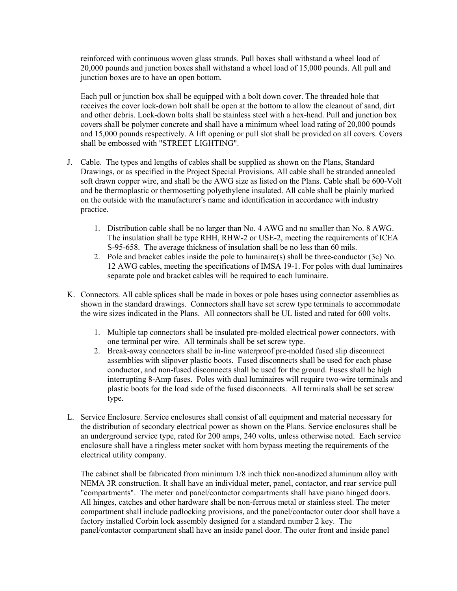reinforced with continuous woven glass strands. Pull boxes shall withstand a wheel load of 20,000 pounds and junction boxes shall withstand a wheel load of 15,000 pounds. All pull and junction boxes are to have an open bottom.

Each pull or junction box shall be equipped with a bolt down cover. The threaded hole that receives the cover lock-down bolt shall be open at the bottom to allow the cleanout of sand, dirt and other debris. Lock-down bolts shall be stainless steel with a hex-head. Pull and junction box covers shall be polymer concrete and shall have a minimum wheel load rating of 20,000 pounds and 15,000 pounds respectively. A lift opening or pull slot shall be provided on all covers. Covers shall be embossed with "STREET LIGHTING".

- J. Cable. The types and lengths of cables shall be supplied as shown on the Plans, Standard Drawings, or as specified in the Project Special Provisions. All cable shall be stranded annealed soft drawn copper wire, and shall be the AWG size as listed on the Plans. Cable shall be 600-Volt and be thermoplastic or thermosetting polyethylene insulated. All cable shall be plainly marked on the outside with the manufacturer's name and identification in accordance with industry practice.
	- 1. Distribution cable shall be no larger than No. 4 AWG and no smaller than No. 8 AWG. The insulation shall be type RHH, RHW-2 or USE-2, meeting the requirements of ICEA S-95-658. The average thickness of insulation shall be no less than 60 mils.
	- 2. Pole and bracket cables inside the pole to luminaire(s) shall be three-conductor (3c) No. 12 AWG cables, meeting the specifications of IMSA 19-1. For poles with dual luminaires separate pole and bracket cables will be required to each luminaire.
- K. Connectors. All cable splices shall be made in boxes or pole bases using connector assemblies as shown in the standard drawings. Connectors shall have set screw type terminals to accommodate the wire sizes indicated in the Plans. All connectors shall be UL listed and rated for 600 volts.
	- 1. Multiple tap connectors shall be insulated pre-molded electrical power connectors, with one terminal per wire. All terminals shall be set screw type.
	- 2. Break-away connectors shall be in-line waterproof pre-molded fused slip disconnect assemblies with slipover plastic boots. Fused disconnects shall be used for each phase conductor, and non-fused disconnects shall be used for the ground. Fuses shall be high interrupting 8-Amp fuses. Poles with dual luminaires will require two-wire terminals and plastic boots for the load side of the fused disconnects. All terminals shall be set screw type.
- L. Service Enclosure. Service enclosures shall consist of all equipment and material necessary for the distribution of secondary electrical power as shown on the Plans. Service enclosures shall be an underground service type, rated for 200 amps, 240 volts, unless otherwise noted. Each service enclosure shall have a ringless meter socket with horn bypass meeting the requirements of the electrical utility company.

The cabinet shall be fabricated from minimum 1/8 inch thick non-anodized aluminum alloy with NEMA 3R construction. It shall have an individual meter, panel, contactor, and rear service pull "compartments". The meter and panel/contactor compartments shall have piano hinged doors. All hinges, catches and other hardware shall be non-ferrous metal or stainless steel. The meter compartment shall include padlocking provisions, and the panel/contactor outer door shall have a factory installed Corbin lock assembly designed for a standard number 2 key. The panel/contactor compartment shall have an inside panel door. The outer front and inside panel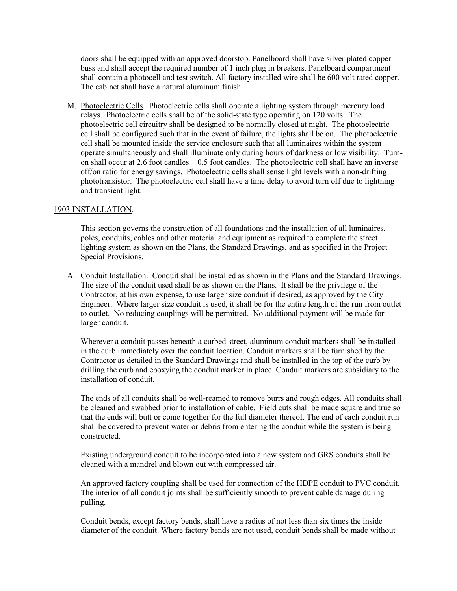doors shall be equipped with an approved doorstop. Panelboard shall have silver plated copper buss and shall accept the required number of 1 inch plug in breakers. Panelboard compartment shall contain a photocell and test switch. All factory installed wire shall be 600 volt rated copper. The cabinet shall have a natural aluminum finish.

M. Photoelectric Cells. Photoelectric cells shall operate a lighting system through mercury load relays. Photoelectric cells shall be of the solid-state type operating on 120 volts. The photoelectric cell circuitry shall be designed to be normally closed at night. The photoelectric cell shall be configured such that in the event of failure, the lights shall be on. The photoelectric cell shall be mounted inside the service enclosure such that all luminaires within the system operate simultaneously and shall illuminate only during hours of darkness or low visibility. Turnon shall occur at 2.6 foot candles  $\pm$  0.5 foot candles. The photoelectric cell shall have an inverse off/on ratio for energy savings. Photoelectric cells shall sense light levels with a non-drifting phototransistor. The photoelectric cell shall have a time delay to avoid turn off due to lightning and transient light.

## 1903 INSTALLATION.

This section governs the construction of all foundations and the installation of all luminaires, poles, conduits, cables and other material and equipment as required to complete the street lighting system as shown on the Plans, the Standard Drawings, and as specified in the Project Special Provisions.

A. Conduit Installation. Conduit shall be installed as shown in the Plans and the Standard Drawings. The size of the conduit used shall be as shown on the Plans. It shall be the privilege of the Contractor, at his own expense, to use larger size conduit if desired, as approved by the City Engineer. Where larger size conduit is used, it shall be for the entire length of the run from outlet to outlet. No reducing couplings will be permitted. No additional payment will be made for larger conduit.

Wherever a conduit passes beneath a curbed street, aluminum conduit markers shall be installed in the curb immediately over the conduit location. Conduit markers shall be furnished by the Contractor as detailed in the Standard Drawings and shall be installed in the top of the curb by drilling the curb and epoxying the conduit marker in place. Conduit markers are subsidiary to the installation of conduit.

The ends of all conduits shall be well-reamed to remove burrs and rough edges. All conduits shall be cleaned and swabbed prior to installation of cable. Field cuts shall be made square and true so that the ends will butt or come together for the full diameter thereof. The end of each conduit run shall be covered to prevent water or debris from entering the conduit while the system is being constructed.

Existing underground conduit to be incorporated into a new system and GRS conduits shall be cleaned with a mandrel and blown out with compressed air.

An approved factory coupling shall be used for connection of the HDPE conduit to PVC conduit. The interior of all conduit joints shall be sufficiently smooth to prevent cable damage during pulling.

Conduit bends, except factory bends, shall have a radius of not less than six times the inside diameter of the conduit. Where factory bends are not used, conduit bends shall be made without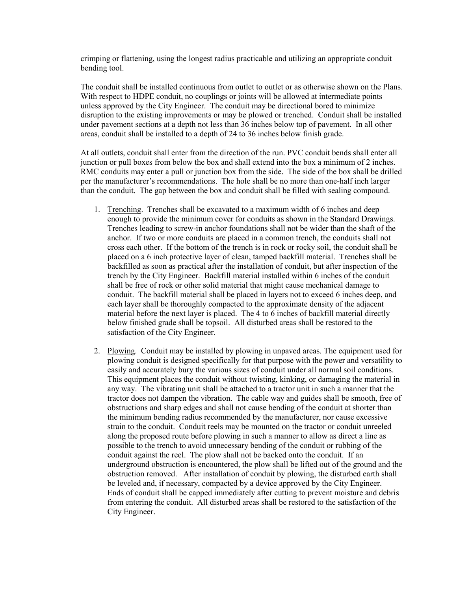crimping or flattening, using the longest radius practicable and utilizing an appropriate conduit bending tool.

The conduit shall be installed continuous from outlet to outlet or as otherwise shown on the Plans. With respect to HDPE conduit, no couplings or joints will be allowed at intermediate points unless approved by the City Engineer. The conduit may be directional bored to minimize disruption to the existing improvements or may be plowed or trenched. Conduit shall be installed under pavement sections at a depth not less than 36 inches below top of pavement. In all other areas, conduit shall be installed to a depth of 24 to 36 inches below finish grade.

At all outlets, conduit shall enter from the direction of the run. PVC conduit bends shall enter all junction or pull boxes from below the box and shall extend into the box a minimum of 2 inches. RMC conduits may enter a pull or junction box from the side. The side of the box shall be drilled per the manufacturer's recommendations. The hole shall be no more than one-half inch larger than the conduit. The gap between the box and conduit shall be filled with sealing compound.

- 1. Trenching. Trenches shall be excavated to a maximum width of 6 inches and deep enough to provide the minimum cover for conduits as shown in the Standard Drawings. Trenches leading to screw-in anchor foundations shall not be wider than the shaft of the anchor. If two or more conduits are placed in a common trench, the conduits shall not cross each other. If the bottom of the trench is in rock or rocky soil, the conduit shall be placed on a 6 inch protective layer of clean, tamped backfill material. Trenches shall be backfilled as soon as practical after the installation of conduit, but after inspection of the trench by the City Engineer. Backfill material installed within 6 inches of the conduit shall be free of rock or other solid material that might cause mechanical damage to conduit. The backfill material shall be placed in layers not to exceed 6 inches deep, and each layer shall be thoroughly compacted to the approximate density of the adjacent material before the next layer is placed. The 4 to 6 inches of backfill material directly below finished grade shall be topsoil. All disturbed areas shall be restored to the satisfaction of the City Engineer.
- 2. Plowing. Conduit may be installed by plowing in unpaved areas. The equipment used for plowing conduit is designed specifically for that purpose with the power and versatility to easily and accurately bury the various sizes of conduit under all normal soil conditions. This equipment places the conduit without twisting, kinking, or damaging the material in any way. The vibrating unit shall be attached to a tractor unit in such a manner that the tractor does not dampen the vibration. The cable way and guides shall be smooth, free of obstructions and sharp edges and shall not cause bending of the conduit at shorter than the minimum bending radius recommended by the manufacturer, nor cause excessive strain to the conduit. Conduit reels may be mounted on the tractor or conduit unreeled along the proposed route before plowing in such a manner to allow as direct a line as possible to the trench to avoid unnecessary bending of the conduit or rubbing of the conduit against the reel. The plow shall not be backed onto the conduit. If an underground obstruction is encountered, the plow shall be lifted out of the ground and the obstruction removed. After installation of conduit by plowing, the disturbed earth shall be leveled and, if necessary, compacted by a device approved by the City Engineer. Ends of conduit shall be capped immediately after cutting to prevent moisture and debris from entering the conduit. All disturbed areas shall be restored to the satisfaction of the City Engineer.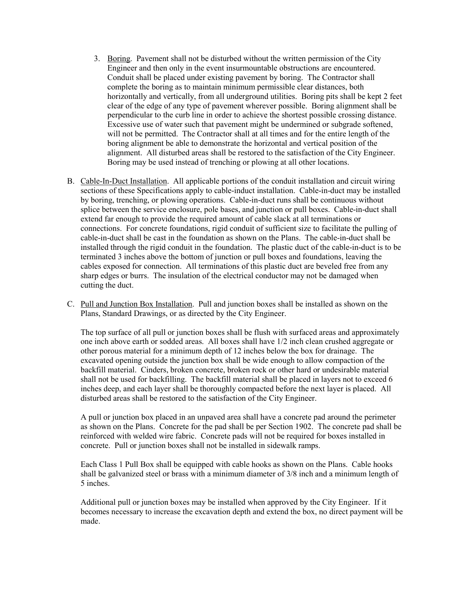- 3. Boring. Pavement shall not be disturbed without the written permission of the City Engineer and then only in the event insurmountable obstructions are encountered. Conduit shall be placed under existing pavement by boring. The Contractor shall complete the boring as to maintain minimum permissible clear distances, both horizontally and vertically, from all underground utilities. Boring pits shall be kept 2 feet clear of the edge of any type of pavement wherever possible. Boring alignment shall be perpendicular to the curb line in order to achieve the shortest possible crossing distance. Excessive use of water such that pavement might be undermined or subgrade softened, will not be permitted. The Contractor shall at all times and for the entire length of the boring alignment be able to demonstrate the horizontal and vertical position of the alignment. All disturbed areas shall be restored to the satisfaction of the City Engineer. Boring may be used instead of trenching or plowing at all other locations.
- B. Cable-In-Duct Installation. All applicable portions of the conduit installation and circuit wiring sections of these Specifications apply to cable-induct installation. Cable-in-duct may be installed by boring, trenching, or plowing operations. Cable-in-duct runs shall be continuous without splice between the service enclosure, pole bases, and junction or pull boxes. Cable-in-duct shall extend far enough to provide the required amount of cable slack at all terminations or connections. For concrete foundations, rigid conduit of sufficient size to facilitate the pulling of cable-in-duct shall be cast in the foundation as shown on the Plans. The cable-in-duct shall be installed through the rigid conduit in the foundation. The plastic duct of the cable-in-duct is to be terminated 3 inches above the bottom of junction or pull boxes and foundations, leaving the cables exposed for connection. All terminations of this plastic duct are beveled free from any sharp edges or burrs. The insulation of the electrical conductor may not be damaged when cutting the duct.
- C. Pull and Junction Box Installation. Pull and junction boxes shall be installed as shown on the Plans, Standard Drawings, or as directed by the City Engineer.

The top surface of all pull or junction boxes shall be flush with surfaced areas and approximately one inch above earth or sodded areas. All boxes shall have 1/2 inch clean crushed aggregate or other porous material for a minimum depth of 12 inches below the box for drainage. The excavated opening outside the junction box shall be wide enough to allow compaction of the backfill material. Cinders, broken concrete, broken rock or other hard or undesirable material shall not be used for backfilling. The backfill material shall be placed in layers not to exceed 6 inches deep, and each layer shall be thoroughly compacted before the next layer is placed. All disturbed areas shall be restored to the satisfaction of the City Engineer.

A pull or junction box placed in an unpaved area shall have a concrete pad around the perimeter as shown on the Plans. Concrete for the pad shall be per Section 1902. The concrete pad shall be reinforced with welded wire fabric. Concrete pads will not be required for boxes installed in concrete. Pull or junction boxes shall not be installed in sidewalk ramps.

Each Class 1 Pull Box shall be equipped with cable hooks as shown on the Plans. Cable hooks shall be galvanized steel or brass with a minimum diameter of 3/8 inch and a minimum length of 5 inches.

Additional pull or junction boxes may be installed when approved by the City Engineer. If it becomes necessary to increase the excavation depth and extend the box, no direct payment will be made.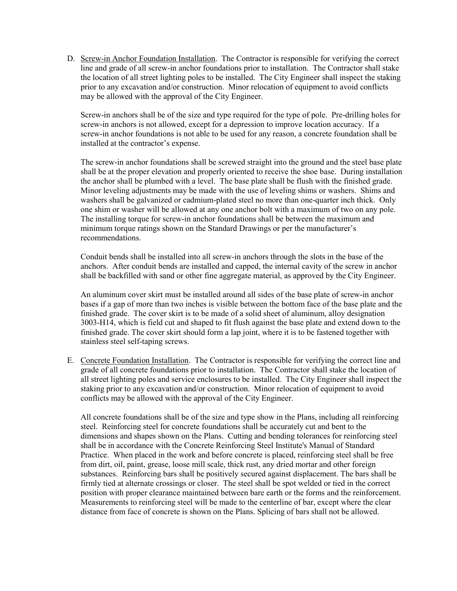D. Screw-in Anchor Foundation Installation. The Contractor is responsible for verifying the correct line and grade of all screw-in anchor foundations prior to installation. The Contractor shall stake the location of all street lighting poles to be installed. The City Engineer shall inspect the staking prior to any excavation and/or construction. Minor relocation of equipment to avoid conflicts may be allowed with the approval of the City Engineer.

Screw-in anchors shall be of the size and type required for the type of pole. Pre-drilling holes for screw-in anchors is not allowed, except for a depression to improve location accuracy. If a screw-in anchor foundations is not able to be used for any reason, a concrete foundation shall be installed at the contractor's expense.

The screw-in anchor foundations shall be screwed straight into the ground and the steel base plate shall be at the proper elevation and properly oriented to receive the shoe base. During installation the anchor shall be plumbed with a level. The base plate shall be flush with the finished grade. Minor leveling adjustments may be made with the use of leveling shims or washers. Shims and washers shall be galvanized or cadmium-plated steel no more than one-quarter inch thick. Only one shim or washer will be allowed at any one anchor bolt with a maximum of two on any pole. The installing torque for screw-in anchor foundations shall be between the maximum and minimum torque ratings shown on the Standard Drawings or per the manufacturer's recommendations.

Conduit bends shall be installed into all screw-in anchors through the slots in the base of the anchors. After conduit bends are installed and capped, the internal cavity of the screw in anchor shall be backfilled with sand or other fine aggregate material, as approved by the City Engineer.

An aluminum cover skirt must be installed around all sides of the base plate of screw-in anchor bases if a gap of more than two inches is visible between the bottom face of the base plate and the finished grade. The cover skirt is to be made of a solid sheet of aluminum, alloy designation 3003-H14, which is field cut and shaped to fit flush against the base plate and extend down to the finished grade. The cover skirt should form a lap joint, where it is to be fastened together with stainless steel self-taping screws.

E. Concrete Foundation Installation. The Contractor is responsible for verifying the correct line and grade of all concrete foundations prior to installation. The Contractor shall stake the location of all street lighting poles and service enclosures to be installed. The City Engineer shall inspect the staking prior to any excavation and/or construction. Minor relocation of equipment to avoid conflicts may be allowed with the approval of the City Engineer.

All concrete foundations shall be of the size and type show in the Plans, including all reinforcing steel. Reinforcing steel for concrete foundations shall be accurately cut and bent to the dimensions and shapes shown on the Plans. Cutting and bending tolerances for reinforcing steel shall be in accordance with the Concrete Reinforcing Steel Institute's Manual of Standard Practice. When placed in the work and before concrete is placed, reinforcing steel shall be free from dirt, oil, paint, grease, loose mill scale, thick rust, any dried mortar and other foreign substances. Reinforcing bars shall be positively secured against displacement. The bars shall be firmly tied at alternate crossings or closer. The steel shall be spot welded or tied in the correct position with proper clearance maintained between bare earth or the forms and the reinforcement. Measurements to reinforcing steel will be made to the centerline of bar, except where the clear distance from face of concrete is shown on the Plans. Splicing of bars shall not be allowed.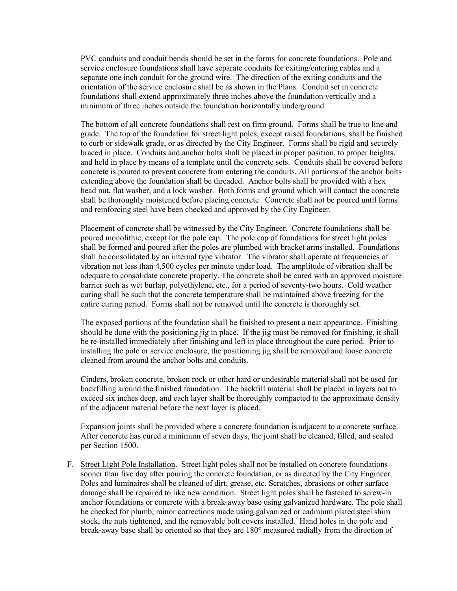PVC conduits and conduit bends should be set in the forms for concrete foundations. Pole and service enclosure foundations shall have separate conduits for exiting/entering cables and a separate one inch conduit for the ground wire. The direction of the exiting conduits and the orientation of the service enclosure shall be as shown in the Plans. Conduit set in concrete foundations shall extend approximately three inches above the foundation vertically and a minimum of three inches outside the foundation horizontally underground.

The bottom of all concrete foundations shall rest on firm ground. Forms shall be true to line and grade. The top of the foundation for street light poles, except raised foundations, shall be finished to curb or sidewalk grade, or as directed by the City Engineer. Forms shall be rigid and securely braced in place. Conduits and anchor bolts shall be placed in proper position, to proper heights, and held in place by means of a template until the concrete sets. Conduits shall be covered before concrete is poured to prevent concrete from entering the conduits. All portions of the anchor bolts extending above the foundation shall be threaded. Anchor bolts shall be provided with a hex head nut, flat washer, and a lock washer. Both forms and ground which will contact the concrete shall be thoroughly moistened before placing concrete. Concrete shall not be poured until forms and reinforcing steel have been checked and approved by the City Engineer.

Placement of concrete shall be witnessed by the City Engineer. Concrete foundations shall be poured monolithic, except for the pole cap. The pole cap of foundations for street light poles shall be formed and poured after the poles are plumbed with bracket arms installed. Foundations shall be consolidated by an internal type vibrator. The vibrator shall operate at frequencies of vibration not less than 4,500 cycles per minute under load. The amplitude of vibration shall be adequate to consolidate concrete properly. The concrete shall be cured with an approved moisture barrier such as wet burlap, polyethylene, etc., for a period of seventy-two hours. Cold weather curing shall be such that the concrete temperature shall be maintained above freezing for the entire curing period. Forms shall not be removed until the concrete is thoroughly set.

The exposed portions of the foundation shall be finished to present a neat appearance. Finishing should be done with the positioning jig in place. If the jig must be removed for finishing, it shall be re-installed immediately after finishing and left in place throughout the cure period. Prior to installing the pole or service enclosure, the positioning jig shall be removed and loose concrete cleaned from around the anchor bolts and conduits.

Cinders, broken concrete, broken rock or other hard or undesirable material shall not be used for backfilling around the finished foundation. The backfill material shall be placed in layers not to exceed six inches deep, and each layer shall be thoroughly compacted to the approximate density of the adjacent material before the next layer is placed.

Expansion joints shall be provided where a concrete foundation is adjacent to a concrete surface. After concrete has cured a minimum of seven days, the joint shall be cleaned, filled, and sealed per Section 1500.

F. Street Light Pole Installation. Street light poles shall not be installed on concrete foundations sooner than five day after pouring the concrete foundation, or as directed by the City Engineer. Poles and luminaires shall be cleaned of dirt, grease, etc. Scratches, abrasions or other surface damage shall be repaired to like new condition. Street light poles shall be fastened to screw-in anchor foundations or concrete with a break-away base using galvanized hardware. The pole shall be checked for plumb, minor corrections made using galvanized or cadmium plated steel shim stock, the nuts tightened, and the removable bolt covers installed. Hand holes in the pole and break-away base shall be oriented so that they are 180° measured radially from the direction of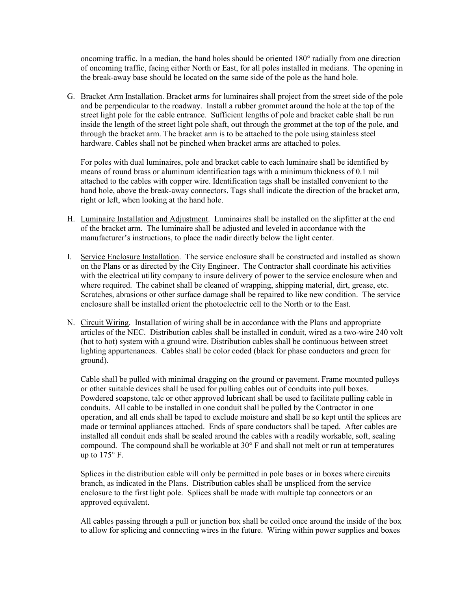oncoming traffic. In a median, the hand holes should be oriented 180° radially from one direction of oncoming traffic, facing either North or East, for all poles installed in medians. The opening in the break-away base should be located on the same side of the pole as the hand hole.

G. Bracket Arm Installation. Bracket arms for luminaires shall project from the street side of the pole and be perpendicular to the roadway. Install a rubber grommet around the hole at the top of the street light pole for the cable entrance. Sufficient lengths of pole and bracket cable shall be run inside the length of the street light pole shaft, out through the grommet at the top of the pole, and through the bracket arm. The bracket arm is to be attached to the pole using stainless steel hardware. Cables shall not be pinched when bracket arms are attached to poles.

For poles with dual luminaires, pole and bracket cable to each luminaire shall be identified by means of round brass or aluminum identification tags with a minimum thickness of 0.1 mil attached to the cables with copper wire. Identification tags shall be installed convenient to the hand hole, above the break-away connectors. Tags shall indicate the direction of the bracket arm, right or left, when looking at the hand hole.

- H. Luminaire Installation and Adjustment. Luminaires shall be installed on the slipfitter at the end of the bracket arm. The luminaire shall be adjusted and leveled in accordance with the manufacturer's instructions, to place the nadir directly below the light center.
- I. Service Enclosure Installation. The service enclosure shall be constructed and installed as shown on the Plans or as directed by the City Engineer. The Contractor shall coordinate his activities with the electrical utility company to insure delivery of power to the service enclosure when and where required. The cabinet shall be cleaned of wrapping, shipping material, dirt, grease, etc. Scratches, abrasions or other surface damage shall be repaired to like new condition. The service enclosure shall be installed orient the photoelectric cell to the North or to the East.
- N. Circuit Wiring. Installation of wiring shall be in accordance with the Plans and appropriate articles of the NEC. Distribution cables shall be installed in conduit, wired as a two-wire 240 volt (hot to hot) system with a ground wire. Distribution cables shall be continuous between street lighting appurtenances. Cables shall be color coded (black for phase conductors and green for ground).

Cable shall be pulled with minimal dragging on the ground or pavement. Frame mounted pulleys or other suitable devices shall be used for pulling cables out of conduits into pull boxes. Powdered soapstone, talc or other approved lubricant shall be used to facilitate pulling cable in conduits. All cable to be installed in one conduit shall be pulled by the Contractor in one operation, and all ends shall be taped to exclude moisture and shall be so kept until the splices are made or terminal appliances attached. Ends of spare conductors shall be taped. After cables are installed all conduit ends shall be sealed around the cables with a readily workable, soft, sealing compound. The compound shall be workable at  $30^{\circ}$  F and shall not melt or run at temperatures up to  $175^\circ$  F.

Splices in the distribution cable will only be permitted in pole bases or in boxes where circuits branch, as indicated in the Plans. Distribution cables shall be unspliced from the service enclosure to the first light pole. Splices shall be made with multiple tap connectors or an approved equivalent.

All cables passing through a pull or junction box shall be coiled once around the inside of the box to allow for splicing and connecting wires in the future. Wiring within power supplies and boxes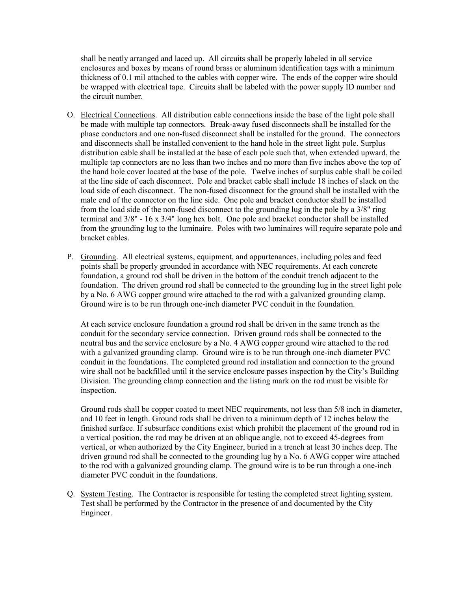shall be neatly arranged and laced up. All circuits shall be properly labeled in all service enclosures and boxes by means of round brass or aluminum identification tags with a minimum thickness of 0.1 mil attached to the cables with copper wire. The ends of the copper wire should be wrapped with electrical tape. Circuits shall be labeled with the power supply ID number and the circuit number.

- O. Electrical Connections. All distribution cable connections inside the base of the light pole shall be made with multiple tap connectors. Break-away fused disconnects shall be installed for the phase conductors and one non-fused disconnect shall be installed for the ground. The connectors and disconnects shall be installed convenient to the hand hole in the street light pole. Surplus distribution cable shall be installed at the base of each pole such that, when extended upward, the multiple tap connectors are no less than two inches and no more than five inches above the top of the hand hole cover located at the base of the pole. Twelve inches of surplus cable shall be coiled at the line side of each disconnect. Pole and bracket cable shall include 18 inches of slack on the load side of each disconnect. The non-fused disconnect for the ground shall be installed with the male end of the connector on the line side. One pole and bracket conductor shall be installed from the load side of the non-fused disconnect to the grounding lug in the pole by a 3/8" ring terminal and  $3/8$ " - 16 x  $3/4$ " long hex bolt. One pole and bracket conductor shall be installed from the grounding lug to the luminaire. Poles with two luminaires will require separate pole and bracket cables.
- P. Grounding. All electrical systems, equipment, and appurtenances, including poles and feed points shall be properly grounded in accordance with NEC requirements. At each concrete foundation, a ground rod shall be driven in the bottom of the conduit trench adjacent to the foundation. The driven ground rod shall be connected to the grounding lug in the street light pole by a No. 6 AWG copper ground wire attached to the rod with a galvanized grounding clamp. Ground wire is to be run through one-inch diameter PVC conduit in the foundation.

At each service enclosure foundation a ground rod shall be driven in the same trench as the conduit for the secondary service connection. Driven ground rods shall be connected to the neutral bus and the service enclosure by a No. 4 AWG copper ground wire attached to the rod with a galvanized grounding clamp. Ground wire is to be run through one-inch diameter PVC conduit in the foundations. The completed ground rod installation and connection to the ground wire shall not be backfilled until it the service enclosure passes inspection by the City's Building Division. The grounding clamp connection and the listing mark on the rod must be visible for inspection.

Ground rods shall be copper coated to meet NEC requirements, not less than 5/8 inch in diameter, and 10 feet in length. Ground rods shall be driven to a minimum depth of 12 inches below the finished surface. If subsurface conditions exist which prohibit the placement of the ground rod in a vertical position, the rod may be driven at an oblique angle, not to exceed 45-degrees from vertical, or when authorized by the City Engineer, buried in a trench at least 30 inches deep. The driven ground rod shall be connected to the grounding lug by a No. 6 AWG copper wire attached to the rod with a galvanized grounding clamp. The ground wire is to be run through a one-inch diameter PVC conduit in the foundations.

Q. System Testing. The Contractor is responsible for testing the completed street lighting system. Test shall be performed by the Contractor in the presence of and documented by the City Engineer.